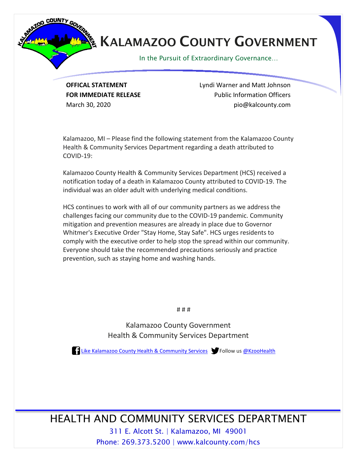

## **KALAMAZOO COUNTY GOVERNMENT**

In the Pursuit of Extraordinary Governance…

**OFFICAL STATEMENT** Lyndi Warner and Matt Johnson **FOR IMMEDIATE RELEASE EXAMPLE 2008** Public Information Officers March 30, 2020 **piomatric 2018** pio@kalcounty.com

Kalamazoo, MI – Please find the following statement from the Kalamazoo County Health & Community Services Department regarding a death attributed to COVID-19:

Kalamazoo County Health & Community Services Department (HCS) received a notification today of a death in Kalamazoo County attributed to COVID-19. The individual was an older adult with underlying medical conditions.

HCS continues to work with all of our community partners as we address the challenges facing our community due to the COVID-19 pandemic. Community mitigation and prevention measures are already in place due to Governor Whitmer's Executive Order "Stay Home, Stay Safe". HCS urges residents to comply with the executive order to help stop the spread within our community. Everyone should take the recommended precautions seriously and practice prevention, such as staying home and washing hands.

# # #

Kalamazoo County Government Health & Community Services Department

**[Like Kalamazoo County Health & Community Services](https://www.facebook.com/KalamazooCountyHCS/) Structure Contracts** Follow us [@KzooHealth](https://twitter.com/KzooHealth)

HEALTH AND COMMUNITY SERVICES DEPARTMENT

311 E. Alcott St. | Kalamazoo, MI 49001 Phone: 269.373.5200 | www.kalcounty.com/hcs